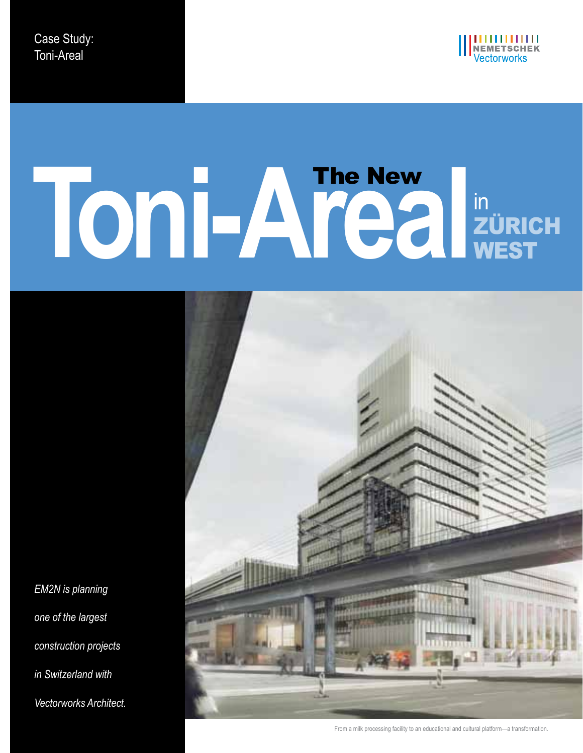

# **Toni-Areal**in Zürich **WEST** The New



*EM2N is planning one of the largest construction projects in Switzerland with Vectorworks Architect.*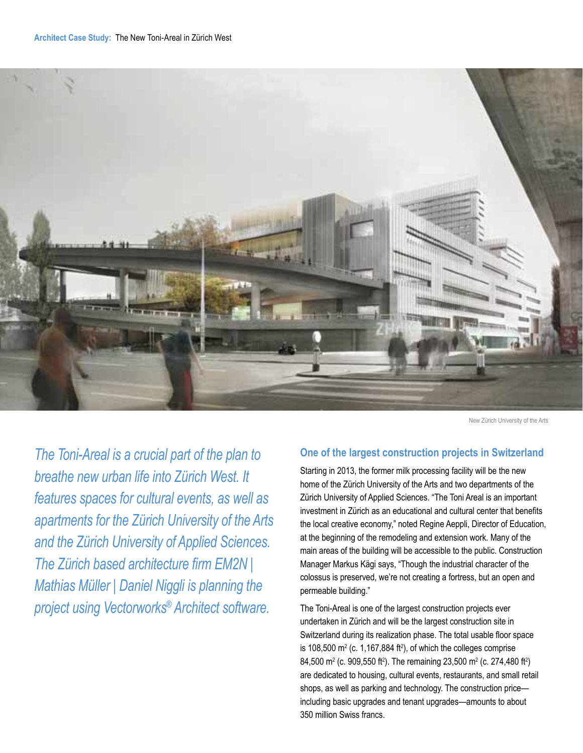

New Zürich University of the Arts

*The Toni-Areal is a crucial part of the plan to breathe new urban life into Zürich West. It features spaces for cultural events, as well as apartments for the Zürich University of the Arts and the Zürich University of Applied Sciences. The Zürich based architecture firm EM2N | Mathias Müller | Daniel Niggli is planning the project using Vectorworks® Architect software.*

### **One of the largest construction projects in Switzerland**

Starting in 2013, the former milk processing facility will be the new home of the Zürich University of the Arts and two departments of the Zürich University of Applied Sciences. "The Toni Areal is an important investment in Zürich as an educational and cultural center that benefits the local creative economy," noted Regine Aeppli, Director of Education, at the beginning of the remodeling and extension work. Many of the main areas of the building will be accessible to the public. Construction Manager Markus Kägi says, "Though the industrial character of the colossus is preserved, we're not creating a fortress, but an open and permeable building."

The Toni-Areal is one of the largest construction projects ever undertaken in Zürich and will be the largest construction site in Switzerland during its realization phase. The total usable floor space is 108,500  $\text{m}^2$  (c. 1,167,884 ft<sup>2</sup>), of which the colleges comprise 84,500 m<sup>2</sup> (c. 909,550 ft<sup>2</sup>). The remaining 23,500 m<sup>2</sup> (c. 274,480 ft<sup>2</sup>) are dedicated to housing, cultural events, restaurants, and small retail shops, as well as parking and technology. The construction price including basic upgrades and tenant upgrades—amounts to about 350 million Swiss francs.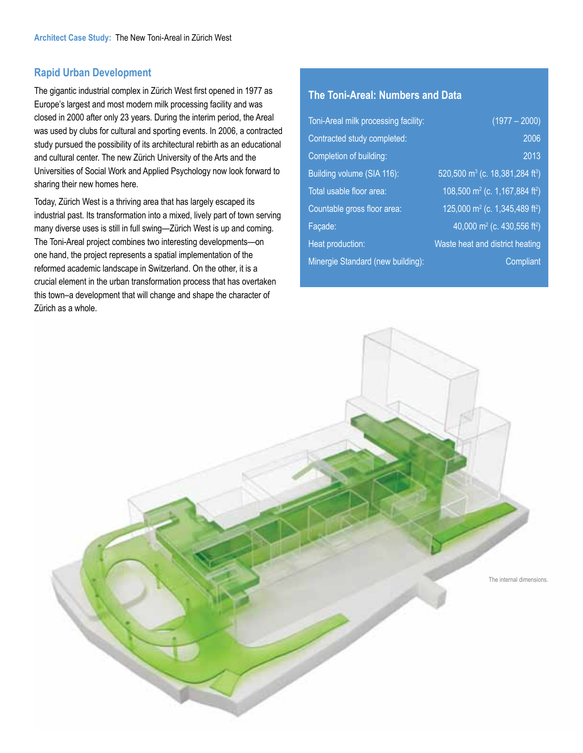# **Rapid Urban Development**

The gigantic industrial complex in Zürich West first opened in 1977 as Europe's largest and most modern milk processing facility and was closed in 2000 after only 23 years. During the interim period, the Areal was used by clubs for cultural and sporting events. In 2006, a contracted study pursued the possibility of its architectural rebirth as an educational and cultural center. The new Zürich University of the Arts and the Universities of Social Work and Applied Psychology now look forward to sharing their new homes here.

Today, Zürich West is a thriving area that has largely escaped its industrial past. Its transformation into a mixed, lively part of town serving many diverse uses is still in full swing—Zürich West is up and coming. The Toni-Areal project combines two interesting developments—on one hand, the project represents a spatial implementation of the reformed academic landscape in Switzerland. On the other, it is a crucial element in the urban transformation process that has overtaken this town–a development that will change and shape the character of Zürich as a whole.

# **The Toni-Areal: Numbers and Data**

| Toni-Areal milk processing facility: | $(1977 - 2000)$                                          |
|--------------------------------------|----------------------------------------------------------|
| Contracted study completed:          | 2006                                                     |
| Completion of building:              | 2013                                                     |
| Building volume (SIA 116):           | 520,500 m <sup>3</sup> (c. 18,381,284 ft <sup>3</sup> )  |
| Total usable floor area:             | $108,500$ m <sup>2</sup> (c. 1,167,884 ft <sup>2</sup> ) |
| Countable gross floor area:          | 125,000 m <sup>2</sup> (c. 1,345,489 ft <sup>2</sup> )   |
| Facade:                              | 40,000 m <sup>2</sup> (c. 430,556 ft <sup>2</sup> )      |
| Heat production:                     | <b>Waste heat and district heating</b>                   |
| Minergie Standard (new building):    | Compliant                                                |

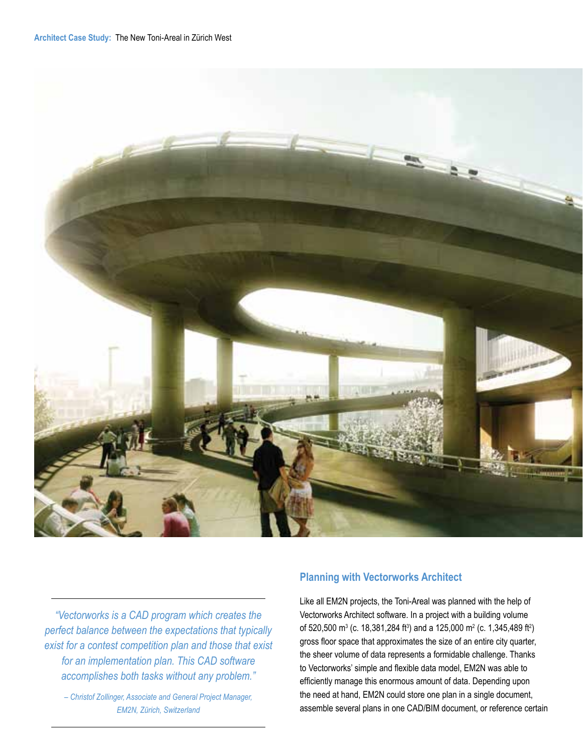

*"Vectorworks is a CAD program which creates the perfect balance between the expectations that typically exist for a contest competition plan and those that exist for an implementation plan. This CAD software accomplishes both tasks without any problem."* 

*– Christof Zollinger, Associate and General Project Manager, EM2N, Zürich, Switzerland*

# **Planning with Vectorworks Architect**

Like all EM2N projects, the Toni-Areal was planned with the help of Vectorworks Architect software. In a project with a building volume of 520,500 m $^3$  (c. 18,381,284 ft $^3$ ) and a 125,000 m $^2$  (c. 1,345,489 ft $^2$ ) gross floor space that approximates the size of an entire city quarter, the sheer volume of data represents a formidable challenge. Thanks to Vectorworks' simple and flexible data model, EM2N was able to efficiently manage this enormous amount of data. Depending upon the need at hand, EM2N could store one plan in a single document, assemble several plans in one CAD/BIM document, or reference certain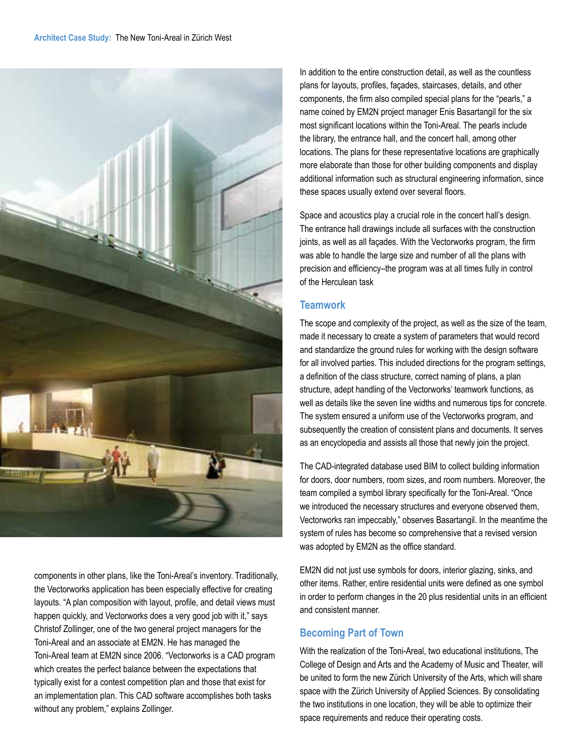

components in other plans, like the Toni-Areal's inventory. Traditionally, the Vectorworks application has been especially effective for creating layouts. "A plan composition with layout, profile, and detail views must happen quickly, and Vectorworks does a very good job with it," says Christof Zollinger, one of the two general project managers for the Toni-Areal and an associate at EM2N. He has managed the Toni-Areal team at EM2N since 2006. "Vectorworks is a CAD program which creates the perfect balance between the expectations that typically exist for a contest competition plan and those that exist for an implementation plan. This CAD software accomplishes both tasks without any problem," explains Zollinger.

In addition to the entire construction detail, as well as the countless plans for layouts, profiles, façades, staircases, details, and other components, the firm also compiled special plans for the "pearls," a name coined by EM2N project manager Enis Basartangil for the six most significant locations within the Toni-Areal. The pearls include the library, the entrance hall, and the concert hall, among other locations. The plans for these representative locations are graphically more elaborate than those for other building components and display additional information such as structural engineering information, since these spaces usually extend over several floors.

Space and acoustics play a crucial role in the concert hall's design. The entrance hall drawings include all surfaces with the construction joints, as well as all façades. With the Vectorworks program, the firm was able to handle the large size and number of all the plans with precision and efficiency–the program was at all times fully in control of the Herculean task

## **Teamwork**

The scope and complexity of the project, as well as the size of the team, made it necessary to create a system of parameters that would record and standardize the ground rules for working with the design software for all involved parties. This included directions for the program settings, a definition of the class structure, correct naming of plans, a plan structure, adept handling of the Vectorworks' teamwork functions, as well as details like the seven line widths and numerous tips for concrete. The system ensured a uniform use of the Vectorworks program, and subsequently the creation of consistent plans and documents. It serves as an encyclopedia and assists all those that newly join the project.

The CAD-integrated database used BIM to collect building information for doors, door numbers, room sizes, and room numbers. Moreover, the team compiled a symbol library specifically for the Toni-Areal. "Once we introduced the necessary structures and everyone observed them, Vectorworks ran impeccably," observes Basartangil. In the meantime the system of rules has become so comprehensive that a revised version was adopted by EM2N as the office standard.

EM2N did not just use symbols for doors, interior glazing, sinks, and other items. Rather, entire residential units were defined as one symbol in order to perform changes in the 20 plus residential units in an efficient and consistent manner.

# **Becoming Part of Town**

With the realization of the Toni-Areal, two educational institutions, The College of Design and Arts and the Academy of Music and Theater, will be united to form the new Zürich University of the Arts, which will share space with the Zürich University of Applied Sciences. By consolidating the two institutions in one location, they will be able to optimize their space requirements and reduce their operating costs.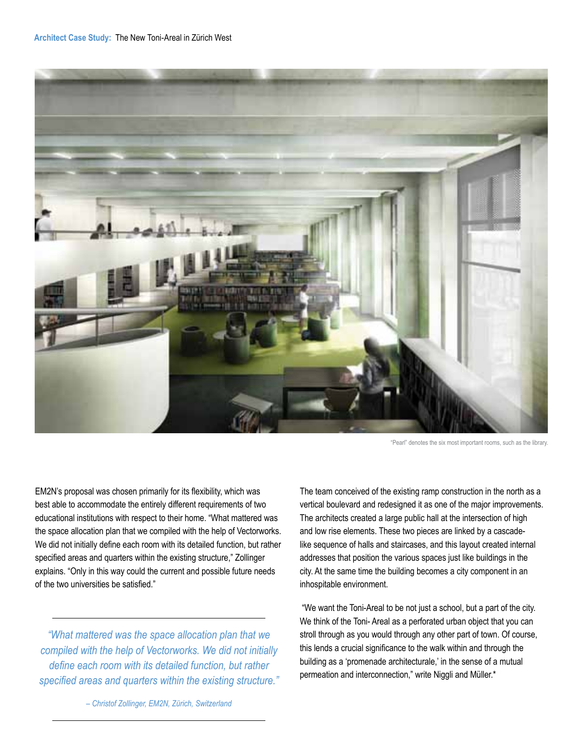

"Pearl" denotes the six most important rooms, such as the library.

EM2N's proposal was chosen primarily for its flexibility, which was best able to accommodate the entirely different requirements of two educational institutions with respect to their home. "What mattered was the space allocation plan that we compiled with the help of Vectorworks. We did not initially define each room with its detailed function, but rather specified areas and quarters within the existing structure," Zollinger explains. "Only in this way could the current and possible future needs of the two universities be satisfied."

*"What mattered was the space allocation plan that we compiled with the help of Vectorworks. We did not initially define each room with its detailed function, but rather specified areas and quarters within the existing structure."* The team conceived of the existing ramp construction in the north as a vertical boulevard and redesigned it as one of the major improvements. The architects created a large public hall at the intersection of high and low rise elements. These two pieces are linked by a cascadelike sequence of halls and staircases, and this layout created internal addresses that position the various spaces just like buildings in the city. At the same time the building becomes a city component in an inhospitable environment.

 "We want the Toni-Areal to be not just a school, but a part of the city. We think of the Toni- Areal as a perforated urban object that you can stroll through as you would through any other part of town. Of course, this lends a crucial significance to the walk within and through the building as a 'promenade architecturale,' in the sense of a mutual permeation and interconnection," write Niggli and Müller.\*

*– Christof Zollinger, EM2N, Zürich, Switzerland*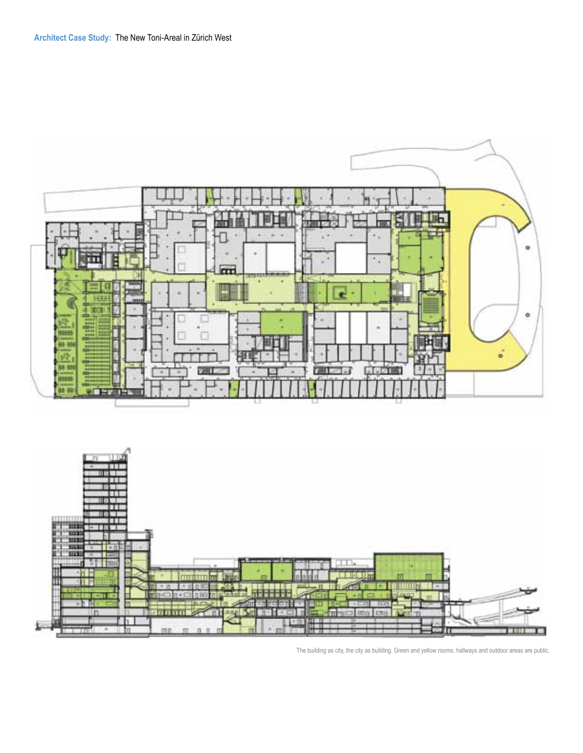

The building as city, the city as building. Green and yellow rooms, hallways and outdoor areas are public.